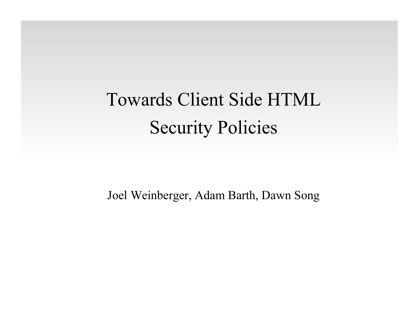# Towards Client Side HTML Security Policies

Joel Weinberger, Adam Barth, Dawn Song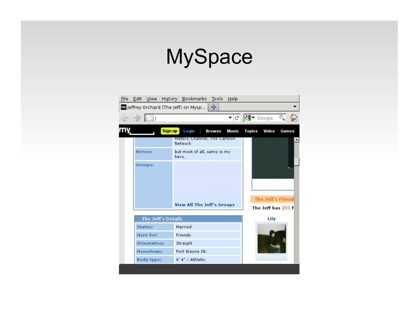### **MySpace**

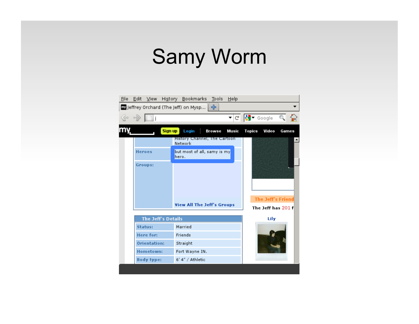#### Samy Worm

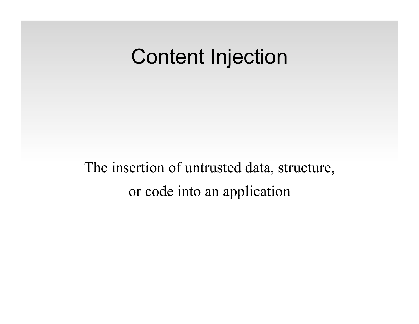#### Content Injection

The insertion of untrusted data, structure, or code into an application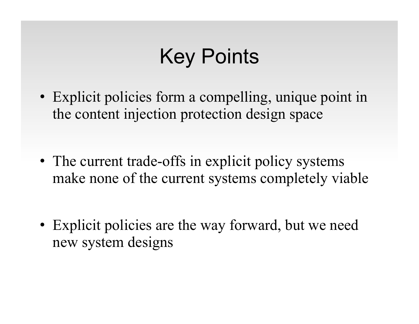# Key Points

- Explicit policies form a compelling, unique point in the content injection protection design space
- The current trade-offs in explicit policy systems make none of the current systems completely viable
- Explicit policies are the way forward, but we need new system designs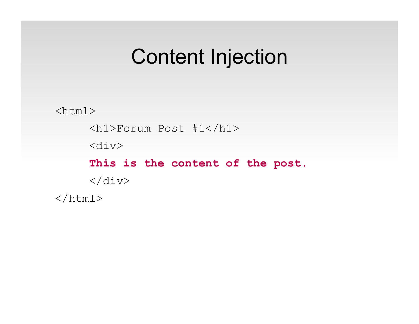#### Content Injection

 $$  <h1>Forum Post #1</h1> <div>  **This is the content of the post.**   $\langle$ div $>$  $\langle$ /html $>$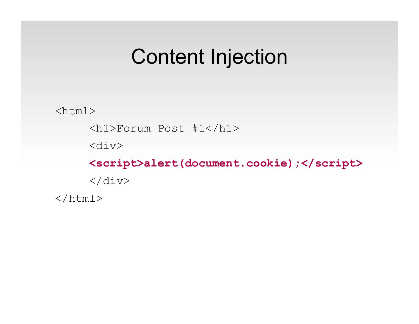#### Content Injection

 $<$ html $>$ 

<h1>Forum Post #1</h1>

<div>

 **<script>alert(document.cookie);</script>**   $\langle$ div $>$  $\langle$ /html $>$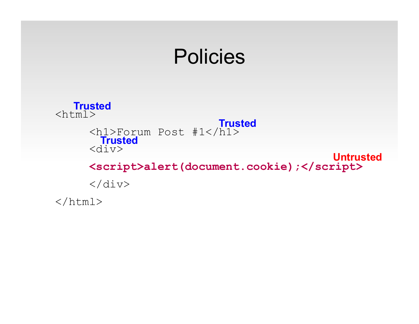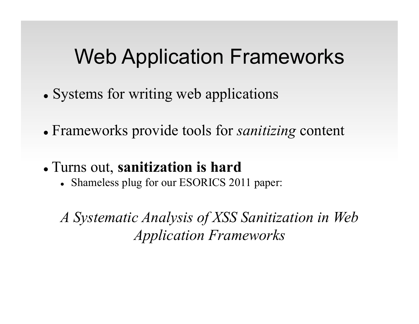#### Web Application Frameworks

- Systems for writing web applications
- Frameworks provide tools for *sanitizing* content
- Turns out, **sanitization is hard**
	- Shameless plug for our ESORICS 2011 paper:

*A Systematic Analysis of XSS Sanitization in Web Application Frameworks*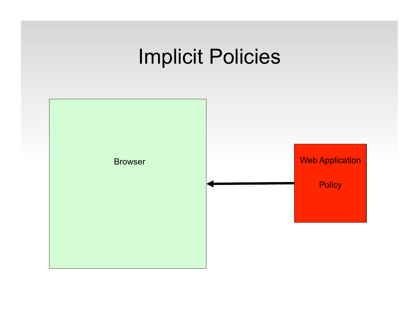### Implicit Policies

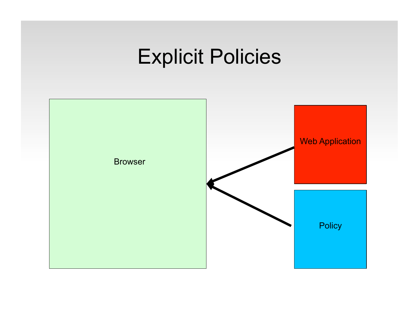### Explicit Policies

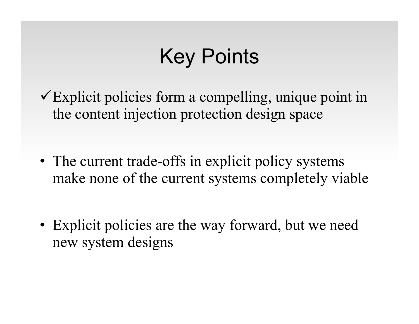# Key Points

 $\checkmark$  Explicit policies form a compelling, unique point in the content injection protection design space

- The current trade-offs in explicit policy systems make none of the current systems completely viable
- Explicit policies are the way forward, but we need new system designs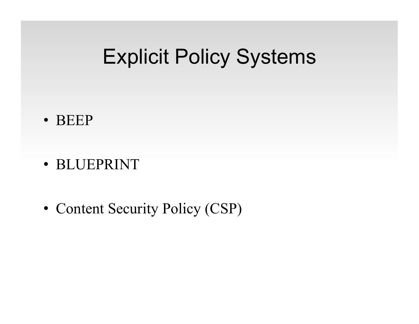#### Explicit Policy Systems

- BEEP
- BLUEPRINT
- Content Security Policy (CSP)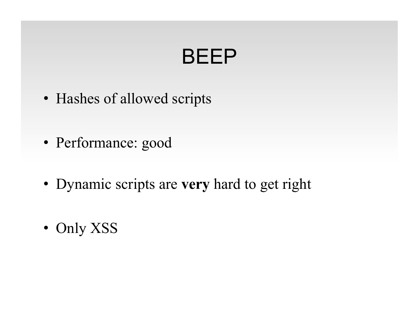# BEEP

- Hashes of allowed scripts
- Performance: good
- Dynamic scripts are **very** hard to get right
- Only XSS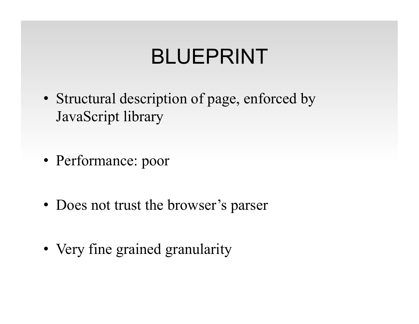# BLUEPRINT

- Structural description of page, enforced by JavaScript library
- Performance: poor
- Does not trust the browser's parser
- Very fine grained granularity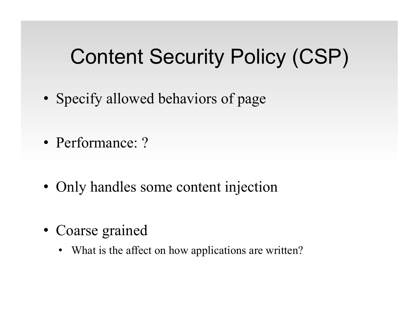## Content Security Policy (CSP)

- Specify allowed behaviors of page
- Performance: ?
- Only handles some content injection
- Coarse grained
	- What is the affect on how applications are written?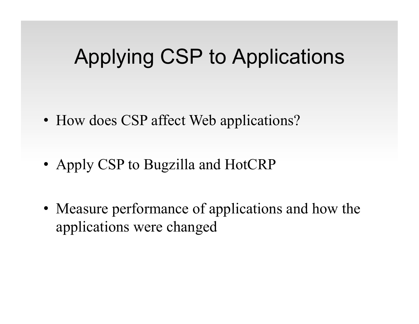### Applying CSP to Applications

- How does CSP affect Web applications?
- Apply CSP to Bugzilla and HotCRP
- Measure performance of applications and how the applications were changed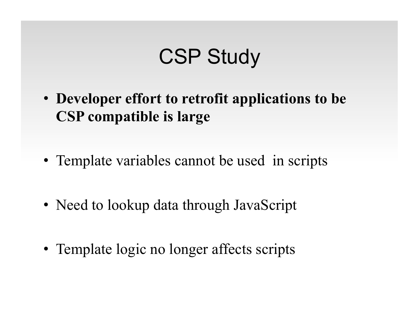## CSP Study

- **Developer effort to retrofit applications to be CSP compatible is large**
- Template variables cannot be used in scripts
- Need to lookup data through JavaScript
- Template logic no longer affects scripts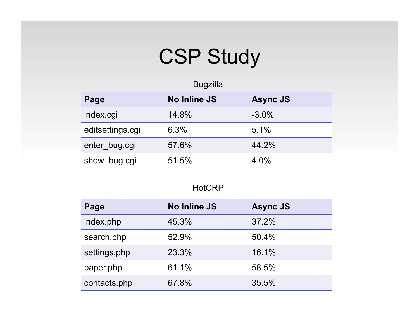# CSP Study

| Page             | <b>No Inline JS</b> | <b>Async JS</b> |  |
|------------------|---------------------|-----------------|--|
| index.cgi        | 14.8%               | $-3.0\%$        |  |
| editsettings.cgi | 6.3%                | 5.1%            |  |
| enter_bug.cgi    | 57.6%               | 44.2%           |  |
| show bug.cgi     | 51.5%               | 4.0%            |  |

#### **HotCRP**

| Page         | <b>No Inline JS</b> | <b>Async JS</b> |
|--------------|---------------------|-----------------|
| index.php    | 45.3%               | 37.2%           |
| search.php   | 52.9%               | 50.4%           |
| settings.php | 23.3%               | 16.1%           |
| paper.php    | 61.1%               | 58.5%           |
| contacts.php | 67.8%               | 35.5%           |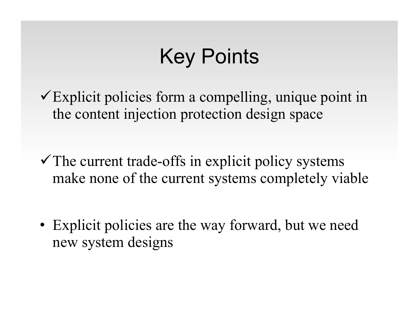# Key Points

 $\checkmark$  Explicit policies form a compelling, unique point in the content injection protection design space

 $\checkmark$  The current trade-offs in explicit policy systems make none of the current systems completely viable

• Explicit policies are the way forward, but we need new system designs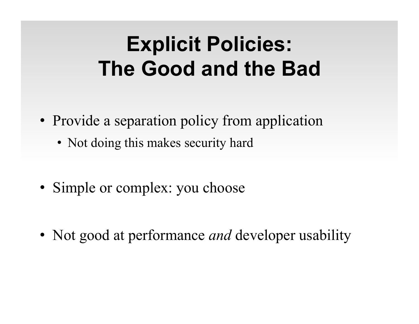# **Explicit Policies: The Good and the Bad**

- Provide a separation policy from application
	- Not doing this makes security hard
- Simple or complex: you choose
- Not good at performance *and* developer usability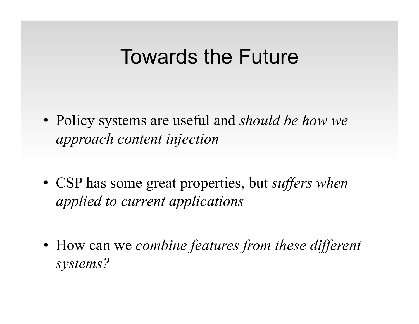#### Towards the Future

- Policy systems are useful and *should be how we approach content injection*
- CSP has some great properties, but *suffers when applied to current applications*
- How can we *combine features from these different systems?*